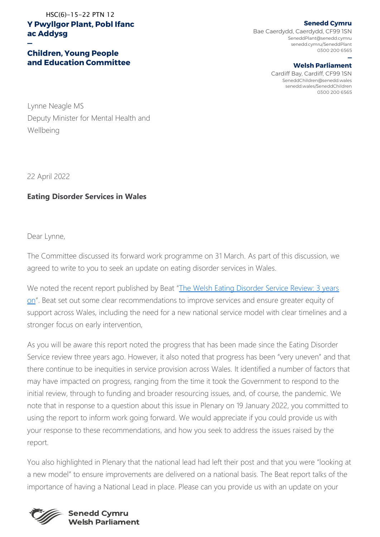**Y Pwyllgor Plant, Pobl Ifanc ac Addysg** HSC(6)-15-22 PTN 12

## **Children, Young People and Education Committee**

**Senedd Cymru** Bae Caerdydd, Caerdydd, CF99 1SN SeneddPlant@senedd.cymru senedd.cymru/SeneddPlant 0300 200 6565

## **— Welsh Parliament**

Cardiff Bay, Cardiff, CF99 1SN SeneddChildren@senedd.wales senedd.wales/SeneddChildren 0300 200 6565

Lynne Neagle MS Deputy Minister for Mental Health and Wellbeing

22 April 2022

**—**

## **Eating Disorder Services in Wales**

Dear Lynne,

The Committee discussed its forward work programme on 31 March. As part of this discussion, we agreed to write to you to seek an update on eating disorder services in Wales.

We noted the recent report published by Beat "[The Welsh Eating Disorder Service Review: 3 years](https://beat.contentfiles.net/media/documents/3_years_on.pdf)  [on](https://beat.contentfiles.net/media/documents/3_years_on.pdf)". Beat set out some clear recommendations to improve services and ensure greater equity of support across Wales, including the need for a new national service model with clear timelines and a stronger focus on early intervention,

As you will be aware this report noted the progress that has been made since the Eating Disorder Service review three years ago. However, it also noted that progress has been "very uneven" and that there continue to be inequities in service provision across Wales. It identified a number of factors that may have impacted on progress, ranging from the time it took the Government to respond to the initial review, through to funding and broader resourcing issues, and, of course, the pandemic. We note that in response to a question about this issue in Plenary on 19 January 2022, you committed to using the report to inform work going forward. We would appreciate if you could provide us with your response to these recommendations, and how you seek to address the issues raised by the report.

You also highlighted in Plenary that the national lead had left their post and that you were "looking at a new model" to ensure improvements are delivered on a national basis. The Beat report talks of the importance of having a National Lead in place. Please can you provide us with an update on your